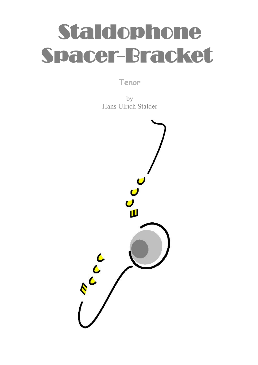# Staldophone Spacer-Bracket

**Tenor**

by Hans Ulrich Stalder

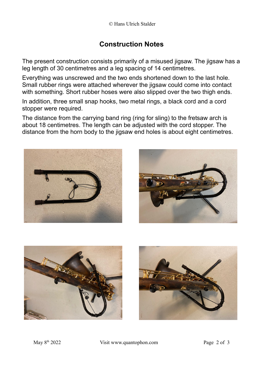## **Construction Notes**

The present construction consists primarily of a misused jigsaw. The jigsaw has a leg length of 30 centimetres and a leg spacing of 14 centimetres.

Everything was unscrewed and the two ends shortened down to the last hole. Small rubber rings were attached wherever the jigsaw could come into contact with something. Short rubber hoses were also slipped over the two thigh ends.

In addition, three small snap hooks, two metal rings, a black cord and a cord stopper were required.

The distance from the carrying band ring (ring for sling) to the fretsaw arch is about 18 centimetres. The length can be adjusted with the cord stopper. The distance from the horn body to the jigsaw end holes is about eight centimetres.